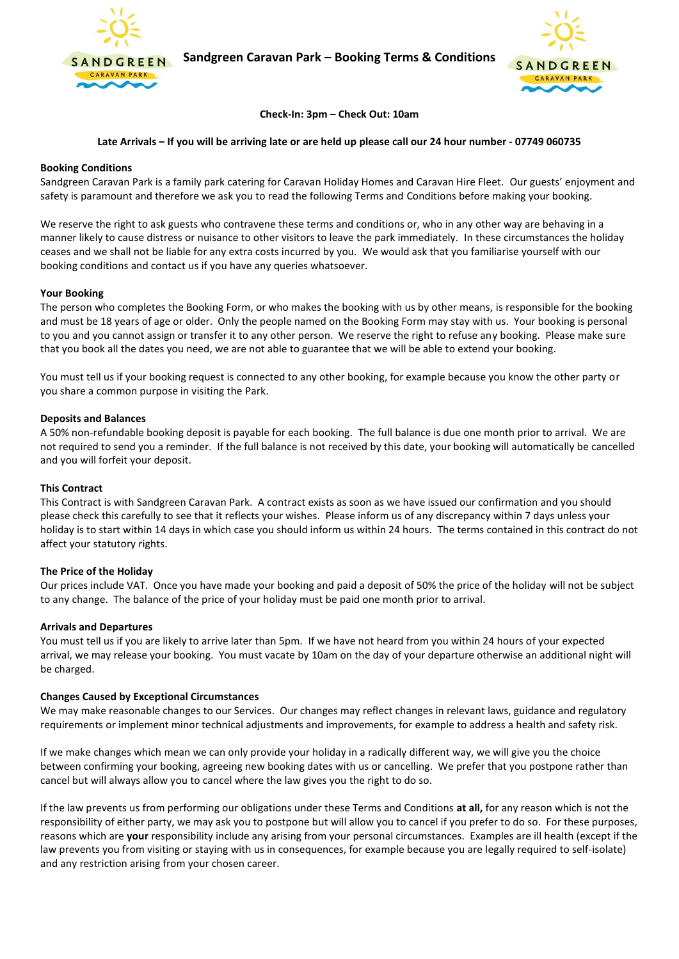

**Sandgreen Caravan Park – Booking Terms & Conditions**



**Check-In: 3pm – Check Out: 10am**

# **Late Arrivals – If you will be arriving late or are held up please call our 24 hour number - 07749 060735**

# **Booking Conditions**

Sandgreen Caravan Park is a family park catering for Caravan Holiday Homes and Caravan Hire Fleet. Our guests' enjoyment and safety is paramount and therefore we ask you to read the following Terms and Conditions before making your booking.

We reserve the right to ask guests who contravene these terms and conditions or, who in any other way are behaving in a manner likely to cause distress or nuisance to other visitors to leave the park immediately. In these circumstances the holiday ceases and we shall not be liable for any extra costs incurred by you. We would ask that you familiarise yourself with our booking conditions and contact us if you have any queries whatsoever.

# **Your Booking**

The person who completes the Booking Form, or who makes the booking with us by other means, is responsible for the booking and must be 18 years of age or older. Only the people named on the Booking Form may stay with us. Your booking is personal to you and you cannot assign or transfer it to any other person. We reserve the right to refuse any booking. Please make sure that you book all the dates you need, we are not able to guarantee that we will be able to extend your booking.

You must tell us if your booking request is connected to any other booking, for example because you know the other party or you share a common purpose in visiting the Park.

# **Deposits and Balances**

A 50% non-refundable booking deposit is payable for each booking. The full balance is due one month prior to arrival. We are not required to send you a reminder. If the full balance is not received by this date, your booking will automatically be cancelled and you will forfeit your deposit.

### **This Contract**

This Contract is with Sandgreen Caravan Park. A contract exists as soon as we have issued our confirmation and you should please check this carefully to see that it reflects your wishes. Please inform us of any discrepancy within 7 days unless your holiday is to start within 14 days in which case you should inform us within 24 hours. The terms contained in this contract do not affect your statutory rights.

### **The Price of the Holiday**

Our prices include VAT. Once you have made your booking and paid a deposit of 50% the price of the holiday will not be subject to any change. The balance of the price of your holiday must be paid one month prior to arrival.

### **Arrivals and Departures**

You must tell us if you are likely to arrive later than 5pm. If we have not heard from you within 24 hours of your expected arrival, we may release your booking. You must vacate by 10am on the day of your departure otherwise an additional night will be charged.

# **Changes Caused by Exceptional Circumstances**

We may make reasonable changes to our Services. Our changes may reflect changes in relevant laws, guidance and regulatory requirements or implement minor technical adjustments and improvements, for example to address a health and safety risk.

If we make changes which mean we can only provide your holiday in a radically different way, we will give you the choice between confirming your booking, agreeing new booking dates with us or cancelling. We prefer that you postpone rather than cancel but will always allow you to cancel where the law gives you the right to do so.

If the law prevents us from performing our obligations under these Terms and Conditions **at all,** for any reason which is not the responsibility of either party, we may ask you to postpone but will allow you to cancel if you prefer to do so. For these purposes, reasons which are **your** responsibility include any arising from your personal circumstances. Examples are ill health (except if the law prevents you from visiting or staying with us in consequences, for example because you are legally required to self-isolate) and any restriction arising from your chosen career.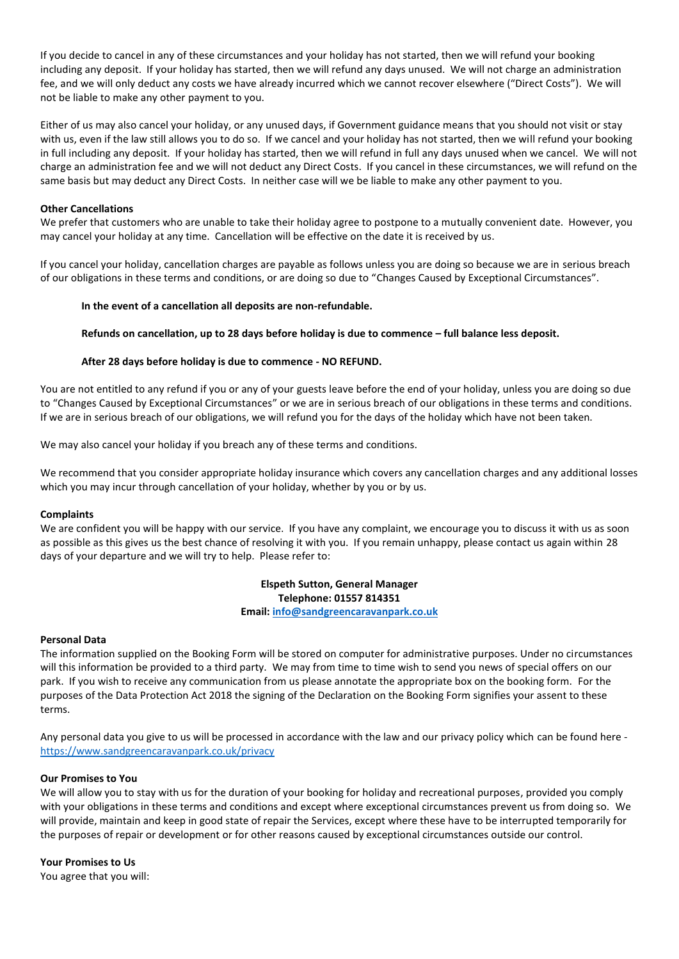If you decide to cancel in any of these circumstances and your holiday has not started, then we will refund your booking including any deposit. If your holiday has started, then we will refund any days unused. We will not charge an administration fee, and we will only deduct any costs we have already incurred which we cannot recover elsewhere ("Direct Costs"). We will not be liable to make any other payment to you.

Either of us may also cancel your holiday, or any unused days, if Government guidance means that you should not visit or stay with us, even if the law still allows you to do so. If we cancel and your holiday has not started, then we will refund your booking in full including any deposit. If your holiday has started, then we will refund in full any days unused when we cancel. We will not charge an administration fee and we will not deduct any Direct Costs. If you cancel in these circumstances, we will refund on the same basis but may deduct any Direct Costs. In neither case will we be liable to make any other payment to you.

# **Other Cancellations**

We prefer that customers who are unable to take their holiday agree to postpone to a mutually convenient date. However, you may cancel your holiday at any time. Cancellation will be effective on the date it is received by us.

If you cancel your holiday, cancellation charges are payable as follows unless you are doing so because we are in serious breach of our obligations in these terms and conditions, or are doing so due to "Changes Caused by Exceptional Circumstances".

# **In the event of a cancellation all deposits are non-refundable.**

**Refunds on cancellation, up to 28 days before holiday is due to commence – full balance less deposit.**

# **After 28 days before holiday is due to commence - NO REFUND.**

You are not entitled to any refund if you or any of your guests leave before the end of your holiday, unless you are doing so due to "Changes Caused by Exceptional Circumstances" or we are in serious breach of our obligations in these terms and conditions. If we are in serious breach of our obligations, we will refund you for the days of the holiday which have not been taken.

We may also cancel your holiday if you breach any of these terms and conditions.

We recommend that you consider appropriate holiday insurance which covers any cancellation charges and any additional losses which you may incur through cancellation of your holiday, whether by you or by us.

### **Complaints**

We are confident you will be happy with our service. If you have any complaint, we encourage you to discuss it with us as soon as possible as this gives us the best chance of resolving it with you. If you remain unhappy, please contact us again within 28 days of your departure and we will try to help. Please refer to:

> **Elspeth Sutton, General Manager Telephone: 01557 814351 Email: [info@sandgreencaravanpark.co.uk](mailto:info@sandgreencaravanpark.co.uk)**

# **Personal Data**

The information supplied on the Booking Form will be stored on computer for administrative purposes. Under no circumstances will this information be provided to a third party. We may from time to time wish to send you news of special offers on our park. If you wish to receive any communication from us please annotate the appropriate box on the booking form. For the purposes of the Data Protection Act 2018 the signing of the Declaration on the Booking Form signifies your assent to these terms.

Any personal data you give to us will be processed in accordance with the law and our privacy policy which can be found here <https://www.sandgreencaravanpark.co.uk/privacy>

# **Our Promises to You**

We will allow you to stay with us for the duration of your booking for holiday and recreational purposes, provided you comply with your obligations in these terms and conditions and except where exceptional circumstances prevent us from doing so. We will provide, maintain and keep in good state of repair the Services, except where these have to be interrupted temporarily for the purposes of repair or development or for other reasons caused by exceptional circumstances outside our control.

**Your Promises to Us** 

You agree that you will: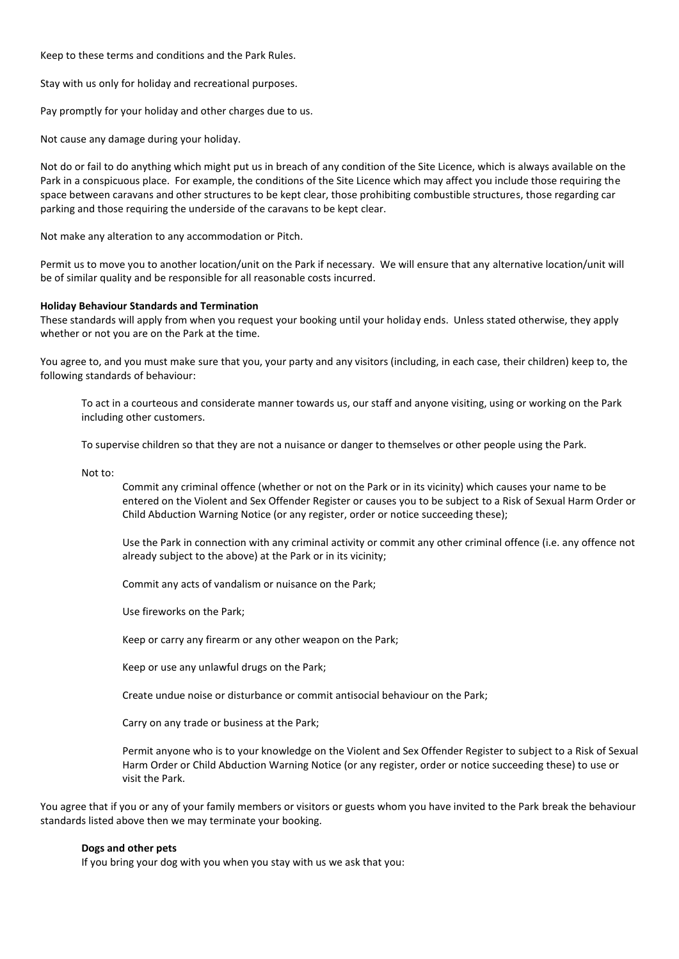Keep to these terms and conditions and the Park Rules.

Stay with us only for holiday and recreational purposes.

Pay promptly for your holiday and other charges due to us.

Not cause any damage during your holiday.

Not do or fail to do anything which might put us in breach of any condition of the Site Licence, which is always available on the Park in a conspicuous place. For example, the conditions of the Site Licence which may affect you include those requiring the space between caravans and other structures to be kept clear, those prohibiting combustible structures, those regarding car parking and those requiring the underside of the caravans to be kept clear.

Not make any alteration to any accommodation or Pitch.

Permit us to move you to another location/unit on the Park if necessary. We will ensure that any alternative location/unit will be of similar quality and be responsible for all reasonable costs incurred.

### **Holiday Behaviour Standards and Termination**

These standards will apply from when you request your booking until your holiday ends. Unless stated otherwise, they apply whether or not you are on the Park at the time.

You agree to, and you must make sure that you, your party and any visitors (including, in each case, their children) keep to, the following standards of behaviour:

To act in a courteous and considerate manner towards us, our staff and anyone visiting, using or working on the Park including other customers.

To supervise children so that they are not a nuisance or danger to themselves or other people using the Park.

Not to:

Commit any criminal offence (whether or not on the Park or in its vicinity) which causes your name to be entered on the Violent and Sex Offender Register or causes you to be subject to a Risk of Sexual Harm Order or Child Abduction Warning Notice (or any register, order or notice succeeding these);

Use the Park in connection with any criminal activity or commit any other criminal offence (i.e. any offence not already subject to the above) at the Park or in its vicinity;

Commit any acts of vandalism or nuisance on the Park;

Use fireworks on the Park;

Keep or carry any firearm or any other weapon on the Park;

Keep or use any unlawful drugs on the Park;

Create undue noise or disturbance or commit antisocial behaviour on the Park;

Carry on any trade or business at the Park;

Permit anyone who is to your knowledge on the Violent and Sex Offender Register to subject to a Risk of Sexual Harm Order or Child Abduction Warning Notice (or any register, order or notice succeeding these) to use or visit the Park.

You agree that if you or any of your family members or visitors or guests whom you have invited to the Park break the behaviour standards listed above then we may terminate your booking.

### **Dogs and other pets**

If you bring your dog with you when you stay with us we ask that you: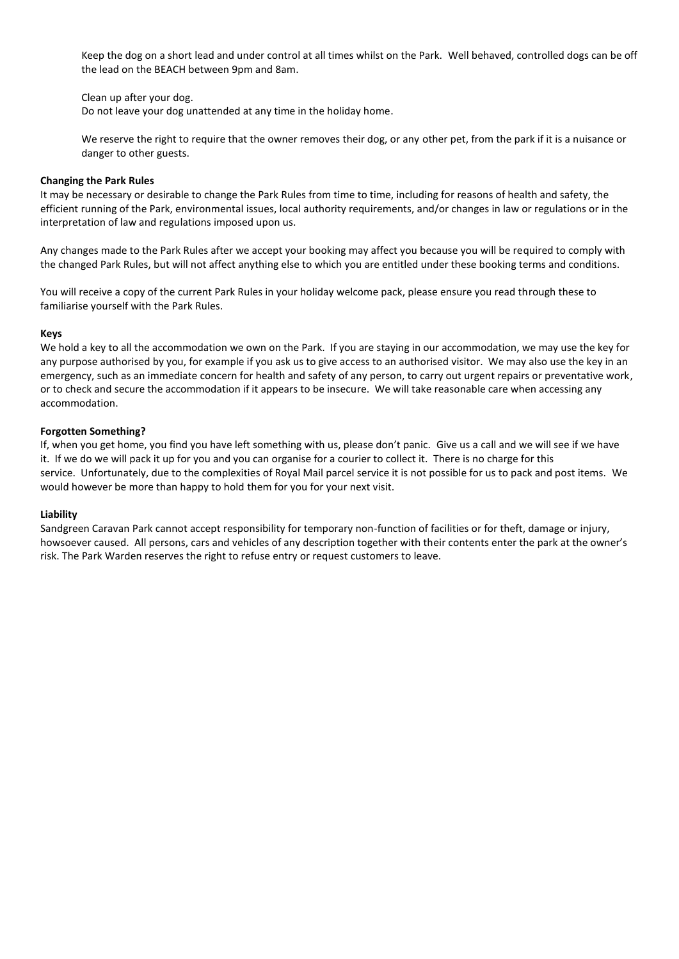Keep the dog on a short lead and under control at all times whilst on the Park. Well behaved, controlled dogs can be off the lead on the BEACH between 9pm and 8am.

Clean up after your dog.

Do not leave your dog unattended at any time in the holiday home.

We reserve the right to require that the owner removes their dog, or any other pet, from the park if it is a nuisance or danger to other guests.

### **Changing the Park Rules**

It may be necessary or desirable to change the Park Rules from time to time, including for reasons of health and safety, the efficient running of the Park, environmental issues, local authority requirements, and/or changes in law or regulations or in the interpretation of law and regulations imposed upon us.

Any changes made to the Park Rules after we accept your booking may affect you because you will be required to comply with the changed Park Rules, but will not affect anything else to which you are entitled under these booking terms and conditions.

You will receive a copy of the current Park Rules in your holiday welcome pack, please ensure you read through these to familiarise yourself with the Park Rules.

#### **Keys**

We hold a key to all the accommodation we own on the Park. If you are staying in our accommodation, we may use the key for any purpose authorised by you, for example if you ask us to give access to an authorised visitor. We may also use the key in an emergency, such as an immediate concern for health and safety of any person, to carry out urgent repairs or preventative work, or to check and secure the accommodation if it appears to be insecure. We will take reasonable care when accessing any accommodation.

### **Forgotten Something?**

If, when you get home, you find you have left something with us, please don't panic. Give us a call and we will see if we have it. If we do we will pack it up for you and you can organise for a courier to collect it. There is no charge for this service. Unfortunately, due to the complexities of Royal Mail parcel service it is not possible for us to pack and post items. We would however be more than happy to hold them for you for your next visit.

### **Liability**

Sandgreen Caravan Park cannot accept responsibility for temporary non-function of facilities or for theft, damage or injury, howsoever caused. All persons, cars and vehicles of any description together with their contents enter the park at the owner's risk. The Park Warden reserves the right to refuse entry or request customers to leave.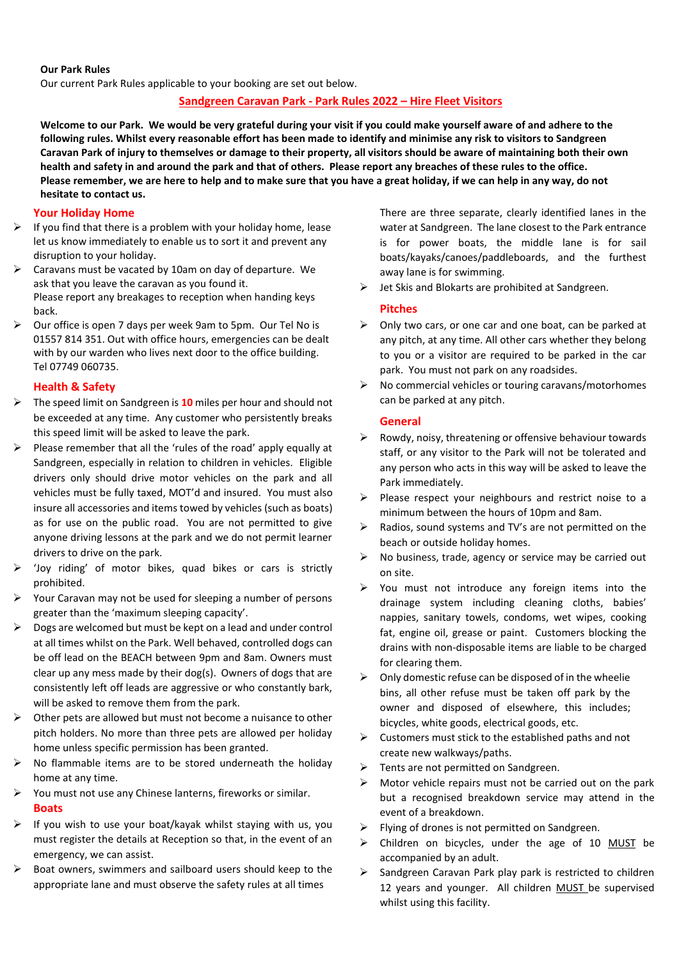# **Our Park Rules**

Our current Park Rules applicable to your booking are set out below.

# **Sandgreen Caravan Park - Park Rules 2022 – Hire Fleet Visitors**

**Welcome to our Park. We would be very grateful during your visit if you could make yourself aware of and adhere to the following rules. Whilst every reasonable effort has been made to identify and minimise any risk to visitors to Sandgreen Caravan Park of injury to themselves or damage to their property, all visitors should be aware of maintaining both their own health and safety in and around the park and that of others. Please report any breaches of these rules to the office. Please remember, we are here to help and to make sure that you have a great holiday, if we can help in any way, do not hesitate to contact us.**

# **Your Holiday Home**

- $\triangleright$  If you find that there is a problem with your holiday home, lease let us know immediately to enable us to sort it and prevent any disruption to your holiday.
- ➢ Caravans must be vacated by 10am on day of departure. We ask that you leave the caravan as you found it. Please report any breakages to reception when handing keys back.
- ➢ Our office is open 7 days per week 9am to 5pm. Our Tel No is 01557 814 351. Out with office hours, emergencies can be dealt with by our warden who lives next door to the office building. Tel 07749 060735.

# **Health & Safety**

- ➢ The speed limit on Sandgreen is **10** miles per hour and should not be exceeded at any time. Any customer who persistently breaks this speed limit will be asked to leave the park.
- $\triangleright$  Please remember that all the 'rules of the road' apply equally at Sandgreen, especially in relation to children in vehicles. Eligible drivers only should drive motor vehicles on the park and all vehicles must be fully taxed, MOT'd and insured. You must also insure all accessories and items towed by vehicles (such as boats) as for use on the public road. You are not permitted to give anyone driving lessons at the park and we do not permit learner drivers to drive on the park.
- ➢ 'Joy riding' of motor bikes, quad bikes or cars is strictly prohibited.
- $\triangleright$  Your Caravan may not be used for sleeping a number of persons greater than the 'maximum sleeping capacity'.
- ➢ Dogs are welcomed but must be kept on a lead and under control at all times whilst on the Park. Well behaved, controlled dogs can be off lead on the BEACH between 9pm and 8am. Owners must clear up any mess made by their dog(s). Owners of dogs that are consistently left off leads are aggressive or who constantly bark, will be asked to remove them from the park.
- ➢ Other pets are allowed but must not become a nuisance to other pitch holders. No more than three pets are allowed per holiday home unless specific permission has been granted.
- ➢ No flammable items are to be stored underneath the holiday home at any time.
- ➢ You must not use any Chinese lanterns, fireworks or similar.

### **Boats**

- $\triangleright$  If you wish to use your boat/kayak whilst staying with us, you must register the details at Reception so that, in the event of an emergency, we can assist.
- $\triangleright$  Boat owners, swimmers and sailboard users should keep to the appropriate lane and must observe the safety rules at all times

There are three separate, clearly identified lanes in the water at Sandgreen. The lane closest to the Park entrance is for power boats, the middle lane is for sail boats/kayaks/canoes/paddleboards, and the furthest away lane is for swimming.

 $\triangleright$  Jet Skis and Blokarts are prohibited at Sandgreen.

# **Pitches**

- ➢ Only two cars, or one car and one boat, can be parked at any pitch, at any time. All other cars whether they belong to you or a visitor are required to be parked in the car park. You must not park on any roadsides.
- ➢ No commercial vehicles or touring caravans/motorhomes can be parked at any pitch.

### **General**

- $\triangleright$  Rowdy, noisy, threatening or offensive behaviour towards staff, or any visitor to the Park will not be tolerated and any person who acts in this way will be asked to leave the Park immediately.
- ➢ Please respect your neighbours and restrict noise to a minimum between the hours of 10pm and 8am.
- ➢ Radios, sound systems and TV's are not permitted on the beach or outside holiday homes.
- ➢ No business, trade, agency or service may be carried out on site.
- $\triangleright$  You must not introduce any foreign items into the drainage system including cleaning cloths, babies' nappies, sanitary towels, condoms, wet wipes, cooking fat, engine oil, grease or paint. Customers blocking the drains with non-disposable items are liable to be charged for clearing them.
- $\triangleright$  Only domestic refuse can be disposed of in the wheelie bins, all other refuse must be taken off park by the owner and disposed of elsewhere, this includes; bicycles, white goods, electrical goods, etc.
- $\triangleright$  Customers must stick to the established paths and not create new walkways/paths.
- ➢ Tents are not permitted on Sandgreen.
- ➢ Motor vehicle repairs must not be carried out on the park but a recognised breakdown service may attend in the event of a breakdown.
- $\triangleright$  Flying of drones is not permitted on Sandgreen.
- ➢ Children on bicycles, under the age of 10 MUST be accompanied by an adult.
- ➢ Sandgreen Caravan Park play park is restricted to children 12 years and younger. All children MUST be supervised whilst using this facility.